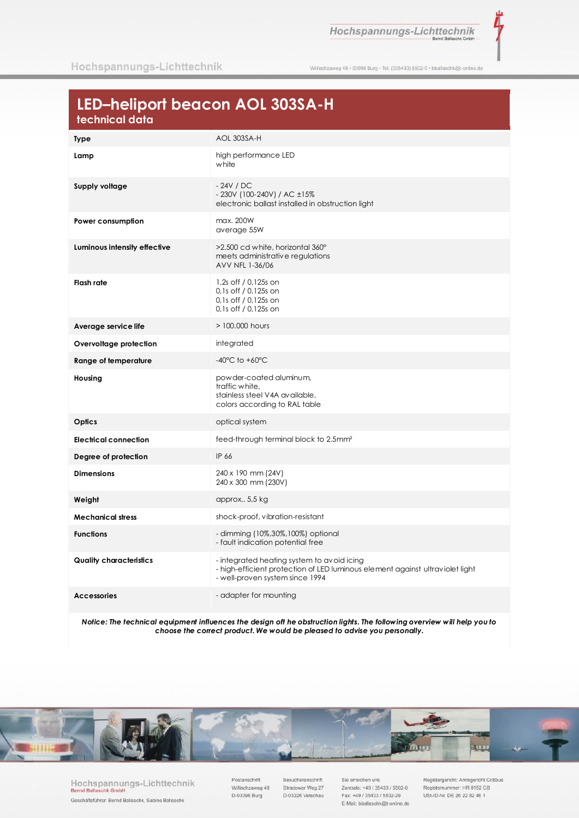Hochspannungs-Lichttechnik

ž

Willischzaweg 48 · 03096 Burg · Tel. (035433) 5502-0 · bballaschk@t-online.de

## LED-heliport beacon AOL 303SA-H

| וכטווווטטו טטוט                |                                                                                                                                                                |
|--------------------------------|----------------------------------------------------------------------------------------------------------------------------------------------------------------|
| <b>Type</b>                    | AOL 303SA-H                                                                                                                                                    |
| Lamp                           | high performance LED<br>white                                                                                                                                  |
| Supply voltage                 | $-24V / DC$<br>- 230V (100-240V) / AC ±15%<br>electronic ballast installed in obstruction light                                                                |
| Power consumption              | max. 200W<br>average 55W                                                                                                                                       |
| Luminous intensity effective   | >2.500 cd white, horizontal 360°<br>meets administrative regulations<br>AVV NFL 1-36/06                                                                        |
| <b>Flash rate</b>              | 1,2s off / 0,125s on<br>0,1s off / 0,125s on<br>0,1s off / 0,125s on<br>0,1s off / 0,125s on                                                                   |
| Average service life           | > 100,000 hours                                                                                                                                                |
| Overvoltage protection         | integrated                                                                                                                                                     |
| Range of temperature           | $-40^{\circ}$ C to $+60^{\circ}$ C                                                                                                                             |
| Housing                        | powder-coated aluminum,<br>traffic white.<br>stainless steel V4A available,<br>colors according to RAL table                                                   |
| Optics                         | optical system                                                                                                                                                 |
| <b>Electrical connection</b>   | feed-through terminal block to 2.5mm <sup>2</sup>                                                                                                              |
| Degree of protection           | IP 66                                                                                                                                                          |
| <b>Dimensions</b>              | 240 x 190 mm (24V)<br>240 x 300 mm (230V)                                                                                                                      |
| Weight                         | approx 5,5 kg                                                                                                                                                  |
| <b>Mechanical stress</b>       | shock-proof, vibration-resistant                                                                                                                               |
| <b>Functions</b>               | - dimming (10%,30%,100%) optional<br>- fault indication potential free                                                                                         |
| <b>Quality characteristics</b> | - integrated heating system to avoid icing<br>- high-efficient protection of LED luminous element against ultraviolet light<br>- well-proven system since 1994 |
| <b>Accessories</b>             | - adapter for mounting                                                                                                                                         |

Notice: The technical equipment influences the design oft he obstruction lights. The following overview will help you to choose the correct product. We would be pleased to advise you personally.



Hochspannungs-Lichttechnik Bernd Ballaschk Gmbl Geschäftsführer: Bernd Ballaschk, Sabine Ballaschk

Postanschrift Willischzaweg 48 D-03096 Burg

Besucheranschrift Stradower Weg 27 D-03226 Vetschau

Sie erreichen uns Zentrale: +49 / 35433 / 5502-0 Fax: +49 / 35433 / 5502-29 E-Mail: bballaschk@t-online.de Registergericht: Amtsgericht Cottbus Registernummer: HR 8152 CB USt-ID-Nr. DE 26 22 82 46 1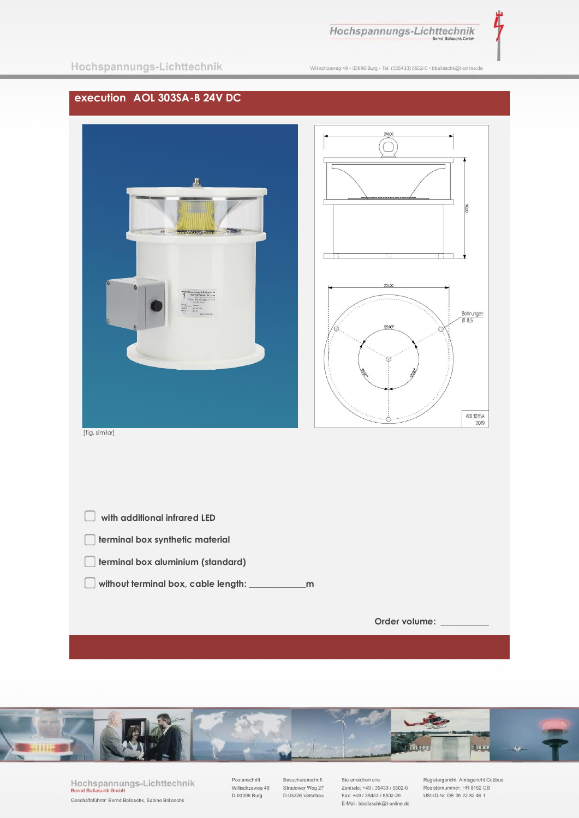Hochspannungs-Lichttechnik

Λ

Willischzaweg 48 · 03096 Burg · Tel. (035433) 5502-0 · bballaschk@t-online.de

## **execution AOL 303SA-B 24V DC**





[fig. similar]

| with additional infrared LED             |               |
|------------------------------------------|---------------|
| terminal box synthetic material          |               |
| terminal box aluminium (standard)        |               |
| without terminal box, cable length:<br>m |               |
|                                          |               |
|                                          | Order volume: |

plump in ng

> Hochspannungs-Lichttechnik<br>Bernd Ballaschk GmbH Geschäftsführer: Bernd Ballaschk, Sabine Ballaschk

Postanschrift Villischzaweg 48<br>D-03096 Burg Besucheranschrift Stradower Weg 27<br>D-03226 Vetschau Sie erreichen uns Zentrale: +49 / 35433 / 5502-0 Fax: +49 / 35433 / 5502-29 E-Mail: bballaschk@t-online.de Registergericht: Amtsgericht Cottbus<br>Registernummer: HR 8152 CB<br>USt-ID-Nr. DE 26 22 82 46 1